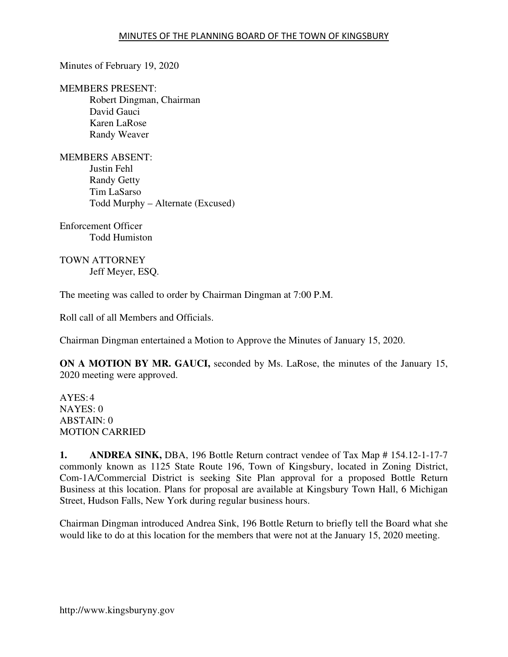Minutes of February 19, 2020

MEMBERS PRESENT: Robert Dingman, Chairman David Gauci Karen LaRose Randy Weaver

MEMBERS ABSENT: Justin Fehl Randy Getty Tim LaSarso Todd Murphy – Alternate (Excused)

Enforcement Officer Todd Humiston

TOWN ATTORNEY Jeff Meyer, ESQ.

The meeting was called to order by Chairman Dingman at 7:00 P.M.

Roll call of all Members and Officials.

Chairman Dingman entertained a Motion to Approve the Minutes of January 15, 2020.

**ON A MOTION BY MR. GAUCI,** seconded by Ms. LaRose, the minutes of the January 15, 2020 meeting were approved.

AYES: 4 NAYES: 0 ABSTAIN: 0 MOTION CARRIED

**1. ANDREA SINK,** DBA, 196 Bottle Return contract vendee of Tax Map # 154.12-1-17-7 commonly known as 1125 State Route 196, Town of Kingsbury, located in Zoning District, Com-1A/Commercial District is seeking Site Plan approval for a proposed Bottle Return Business at this location. Plans for proposal are available at Kingsbury Town Hall, 6 Michigan Street, Hudson Falls, New York during regular business hours.

Chairman Dingman introduced Andrea Sink, 196 Bottle Return to briefly tell the Board what she would like to do at this location for the members that were not at the January 15, 2020 meeting.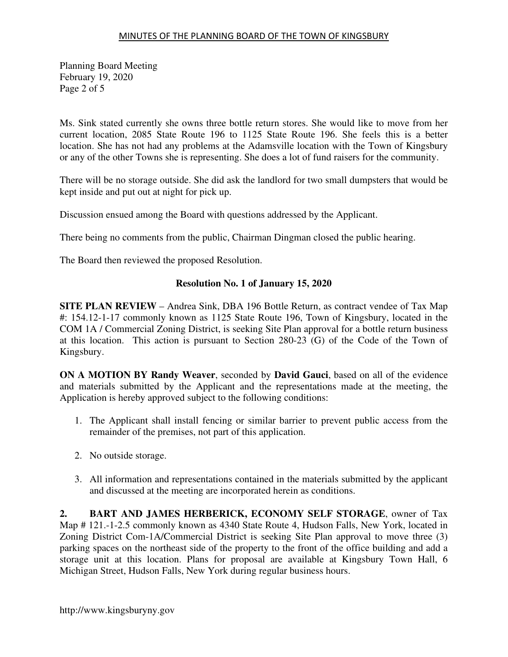Planning Board Meeting February 19, 2020 Page 2 of 5

Ms. Sink stated currently she owns three bottle return stores. She would like to move from her current location, 2085 State Route 196 to 1125 State Route 196. She feels this is a better location. She has not had any problems at the Adamsville location with the Town of Kingsbury or any of the other Towns she is representing. She does a lot of fund raisers for the community.

There will be no storage outside. She did ask the landlord for two small dumpsters that would be kept inside and put out at night for pick up.

Discussion ensued among the Board with questions addressed by the Applicant.

There being no comments from the public, Chairman Dingman closed the public hearing.

The Board then reviewed the proposed Resolution.

# **Resolution No. 1 of January 15, 2020**

**SITE PLAN REVIEW** – Andrea Sink, DBA 196 Bottle Return, as contract vendee of Tax Map #: 154.12-1-17 commonly known as 1125 State Route 196, Town of Kingsbury, located in the COM 1A / Commercial Zoning District, is seeking Site Plan approval for a bottle return business at this location. This action is pursuant to Section 280-23 (G) of the Code of the Town of Kingsbury.

**ON A MOTION BY Randy Weaver**, seconded by **David Gauci**, based on all of the evidence and materials submitted by the Applicant and the representations made at the meeting, the Application is hereby approved subject to the following conditions:

- 1. The Applicant shall install fencing or similar barrier to prevent public access from the remainder of the premises, not part of this application.
- 2. No outside storage.
- 3. All information and representations contained in the materials submitted by the applicant and discussed at the meeting are incorporated herein as conditions.

**2. BART AND JAMES HERBERICK, ECONOMY SELF STORAGE**, owner of Tax Map # 121.-1-2.5 commonly known as 4340 State Route 4, Hudson Falls, New York, located in Zoning District Com-1A/Commercial District is seeking Site Plan approval to move three (3) parking spaces on the northeast side of the property to the front of the office building and add a storage unit at this location. Plans for proposal are available at Kingsbury Town Hall, 6 Michigan Street, Hudson Falls, New York during regular business hours.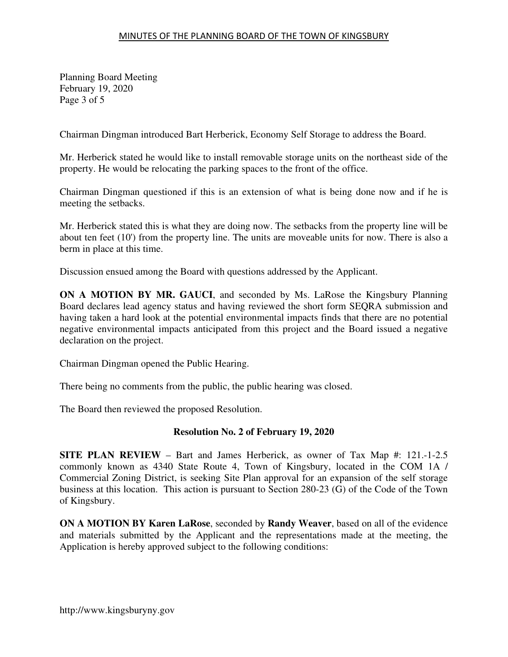Planning Board Meeting February 19, 2020 Page 3 of 5

Chairman Dingman introduced Bart Herberick, Economy Self Storage to address the Board.

Mr. Herberick stated he would like to install removable storage units on the northeast side of the property. He would be relocating the parking spaces to the front of the office.

Chairman Dingman questioned if this is an extension of what is being done now and if he is meeting the setbacks.

Mr. Herberick stated this is what they are doing now. The setbacks from the property line will be about ten feet (10') from the property line. The units are moveable units for now. There is also a berm in place at this time.

Discussion ensued among the Board with questions addressed by the Applicant.

**ON A MOTION BY MR. GAUCI**, and seconded by Ms. LaRose the Kingsbury Planning Board declares lead agency status and having reviewed the short form SEQRA submission and having taken a hard look at the potential environmental impacts finds that there are no potential negative environmental impacts anticipated from this project and the Board issued a negative declaration on the project.

Chairman Dingman opened the Public Hearing.

There being no comments from the public, the public hearing was closed.

The Board then reviewed the proposed Resolution.

### **Resolution No. 2 of February 19, 2020**

**SITE PLAN REVIEW** – Bart and James Herberick, as owner of Tax Map #: 121.-1-2.5 commonly known as 4340 State Route 4, Town of Kingsbury, located in the COM 1A / Commercial Zoning District, is seeking Site Plan approval for an expansion of the self storage business at this location. This action is pursuant to Section 280-23 (G) of the Code of the Town of Kingsbury.

**ON A MOTION BY Karen LaRose**, seconded by **Randy Weaver**, based on all of the evidence and materials submitted by the Applicant and the representations made at the meeting, the Application is hereby approved subject to the following conditions: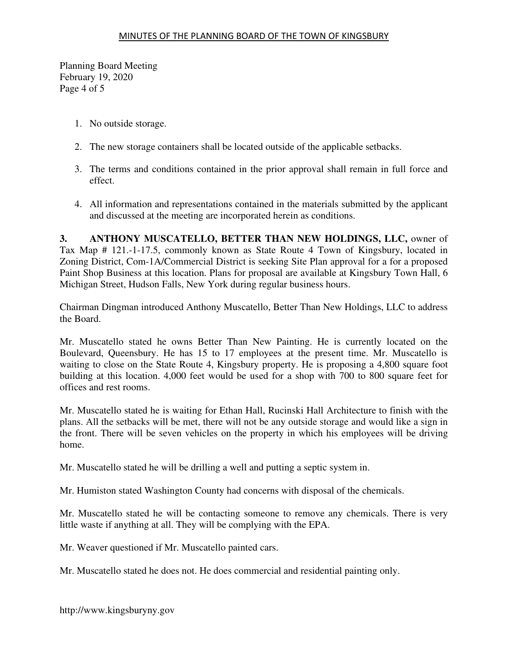Planning Board Meeting February 19, 2020 Page 4 of 5

- 1. No outside storage.
- 2. The new storage containers shall be located outside of the applicable setbacks.
- 3. The terms and conditions contained in the prior approval shall remain in full force and effect.
- 4. All information and representations contained in the materials submitted by the applicant and discussed at the meeting are incorporated herein as conditions.

**3. ANTHONY MUSCATELLO, BETTER THAN NEW HOLDINGS, LLC,** owner of Tax Map # 121.-1-17.5, commonly known as State Route 4 Town of Kingsbury, located in Zoning District, Com-1A/Commercial District is seeking Site Plan approval for a for a proposed Paint Shop Business at this location. Plans for proposal are available at Kingsbury Town Hall, 6 Michigan Street, Hudson Falls, New York during regular business hours.

Chairman Dingman introduced Anthony Muscatello, Better Than New Holdings, LLC to address the Board.

Mr. Muscatello stated he owns Better Than New Painting. He is currently located on the Boulevard, Queensbury. He has 15 to 17 employees at the present time. Mr. Muscatello is waiting to close on the State Route 4, Kingsbury property. He is proposing a 4,800 square foot building at this location. 4,000 feet would be used for a shop with 700 to 800 square feet for offices and rest rooms.

Mr. Muscatello stated he is waiting for Ethan Hall, Rucinski Hall Architecture to finish with the plans. All the setbacks will be met, there will not be any outside storage and would like a sign in the front. There will be seven vehicles on the property in which his employees will be driving home.

Mr. Muscatello stated he will be drilling a well and putting a septic system in.

Mr. Humiston stated Washington County had concerns with disposal of the chemicals.

Mr. Muscatello stated he will be contacting someone to remove any chemicals. There is very little waste if anything at all. They will be complying with the EPA.

Mr. Weaver questioned if Mr. Muscatello painted cars.

Mr. Muscatello stated he does not. He does commercial and residential painting only.